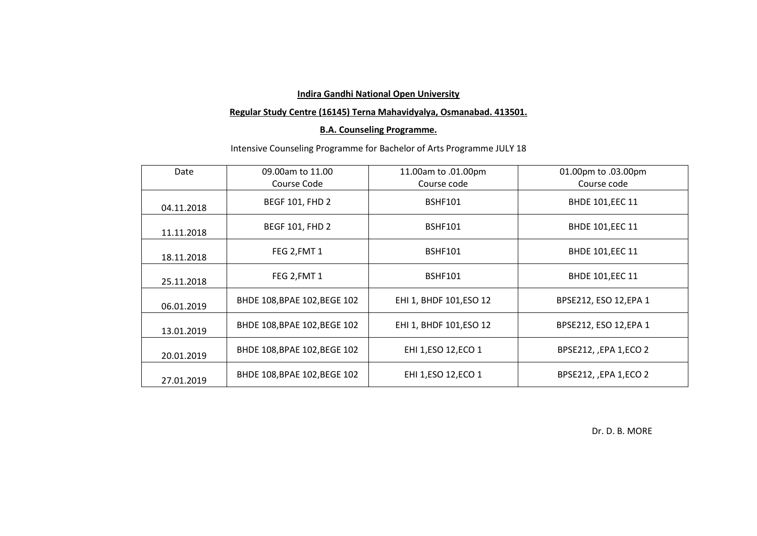### **Regular Study Centre (16145) Terna Mahavidyalya, Osmanabad. 413501.**

# **B.A. Counseling Programme.**

# Intensive Counseling Programme for Bachelor of Arts Programme JULY 18

| Date       | 09.00am to 11.00<br>Course Code | 11.00am to .01.00pm<br>Course code | 01.00pm to .03.00pm<br>Course code |
|------------|---------------------------------|------------------------------------|------------------------------------|
| 04.11.2018 | <b>BEGF 101, FHD 2</b>          | <b>BSHF101</b>                     | <b>BHDE 101, EEC 11</b>            |
| 11.11.2018 | <b>BEGF 101, FHD 2</b>          | <b>BSHF101</b>                     | <b>BHDE 101, EEC 11</b>            |
| 18.11.2018 | FEG 2, FMT 1                    | <b>BSHF101</b>                     | <b>BHDE 101, EEC 11</b>            |
| 25.11.2018 | FEG 2, FMT 1                    | BSHF101                            | <b>BHDE 101, EEC 11</b>            |
| 06.01.2019 | BHDE 108, BPAE 102, BEGE 102    | EHI 1, BHDF 101, ESO 12            | BPSE212, ESO 12, EPA 1             |
| 13.01.2019 | BHDE 108, BPAE 102, BEGE 102    | EHI 1, BHDF 101, ESO 12            | BPSE212, ESO 12, EPA 1             |
| 20.01.2019 | BHDE 108, BPAE 102, BEGE 102    | EHI 1, ESO 12, ECO 1               | BPSE212, , EPA 1, ECO 2            |
| 27.01.2019 | BHDE 108, BPAE 102, BEGE 102    | EHI 1, ESO 12, ECO 1               | BPSE212, , EPA 1, ECO 2            |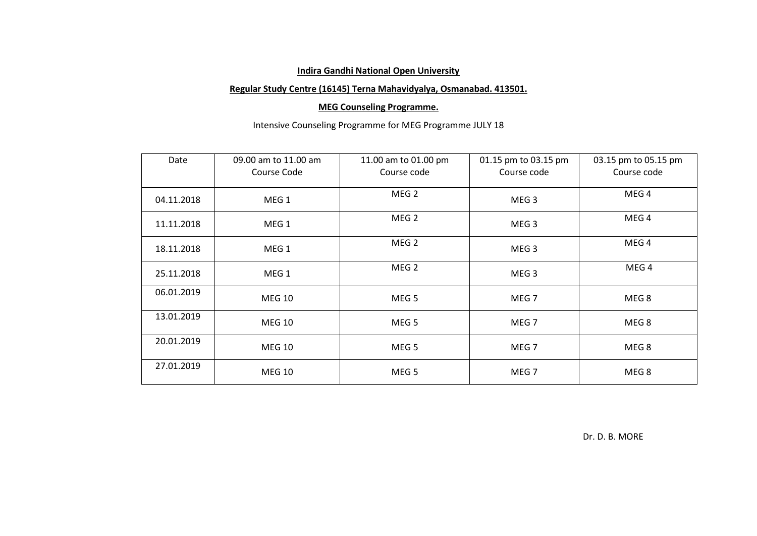### **Regular Study Centre (16145) Terna Mahavidyalya, Osmanabad. 413501.**

### **MEG Counseling Programme.**

# Intensive Counseling Programme for MEG Programme JULY 18

| Date       | 09.00 am to 11.00 am | 11.00 am to 01.00 pm | 01.15 pm to 03.15 pm | 03.15 pm to 05.15 pm |
|------------|----------------------|----------------------|----------------------|----------------------|
|            | Course Code          | Course code          | Course code          | Course code          |
| 04.11.2018 | MEG <sub>1</sub>     | MEG <sub>2</sub>     | MEG <sub>3</sub>     | MEG <sub>4</sub>     |
| 11.11.2018 | MEG <sub>1</sub>     | MEG <sub>2</sub>     | MEG <sub>3</sub>     | MEG <sub>4</sub>     |
| 18.11.2018 | MEG <sub>1</sub>     | MEG <sub>2</sub>     | MEG <sub>3</sub>     | MEG <sub>4</sub>     |
| 25.11.2018 | MEG <sub>1</sub>     | MEG <sub>2</sub>     | MEG <sub>3</sub>     | MEG <sub>4</sub>     |
| 06.01.2019 | <b>MEG 10</b>        | MEG <sub>5</sub>     | MEG <sub>7</sub>     | MEG <sub>8</sub>     |
| 13.01.2019 | <b>MEG 10</b>        | MEG <sub>5</sub>     | MEG <sub>7</sub>     | MEG <sub>8</sub>     |
| 20.01.2019 | <b>MEG 10</b>        | MEG <sub>5</sub>     | MEG <sub>7</sub>     | MEG 8                |
| 27.01.2019 | <b>MEG 10</b>        | MEG <sub>5</sub>     | MEG <sub>7</sub>     | MEG <sub>8</sub>     |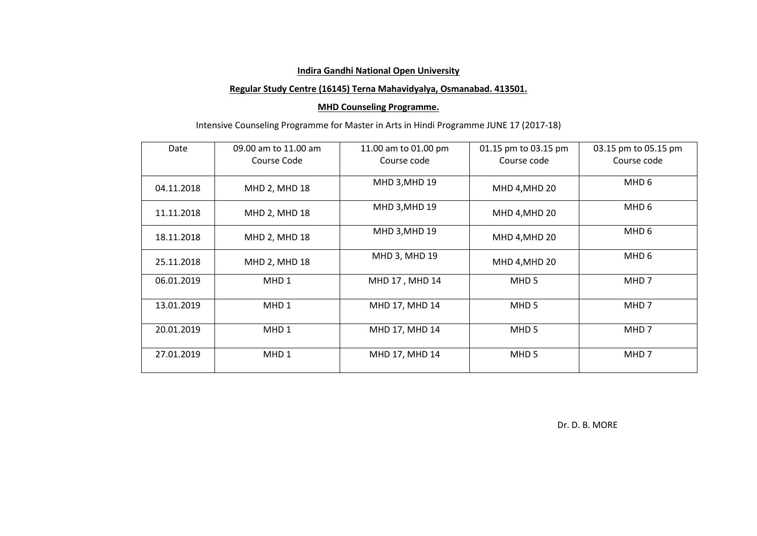### **Regular Study Centre (16145) Terna Mahavidyalya, Osmanabad. 413501.**

### **MHD Counseling Programme.**

# Intensive Counseling Programme for Master in Arts in Hindi Programme JUNE 17 (2017-18)

| Date       | 09.00 am to 11.00 am<br>Course Code | 11.00 am to 01.00 pm<br>Course code | 01.15 pm to 03.15 pm<br>Course code | 03.15 pm to 05.15 pm<br>Course code |
|------------|-------------------------------------|-------------------------------------|-------------------------------------|-------------------------------------|
|            |                                     |                                     |                                     |                                     |
| 04.11.2018 | MHD 2, MHD 18                       | MHD 3, MHD 19                       | MHD 4, MHD 20                       | MHD 6                               |
| 11.11.2018 | MHD 2, MHD 18                       | MHD 3, MHD 19                       | MHD 4, MHD 20                       | MHD 6                               |
| 18.11.2018 | MHD 2, MHD 18                       | MHD 3, MHD 19                       | MHD 4, MHD 20                       | MHD 6                               |
| 25.11.2018 | MHD 2, MHD 18                       | MHD 3, MHD 19                       | MHD 4, MHD 20                       | MHD 6                               |
| 06.01.2019 | MHD <sub>1</sub>                    | MHD 17, MHD 14                      | MHD <sub>5</sub>                    | MHD 7                               |
| 13.01.2019 | MHD <sub>1</sub>                    | MHD 17, MHD 14                      | MHD <sub>5</sub>                    | MHD 7                               |
| 20.01.2019 | MHD <sub>1</sub>                    | MHD 17, MHD 14                      | MHD <sub>5</sub>                    | MHD 7                               |
| 27.01.2019 | MHD <sub>1</sub>                    | MHD 17, MHD 14                      | MHD <sub>5</sub>                    | MHD 7                               |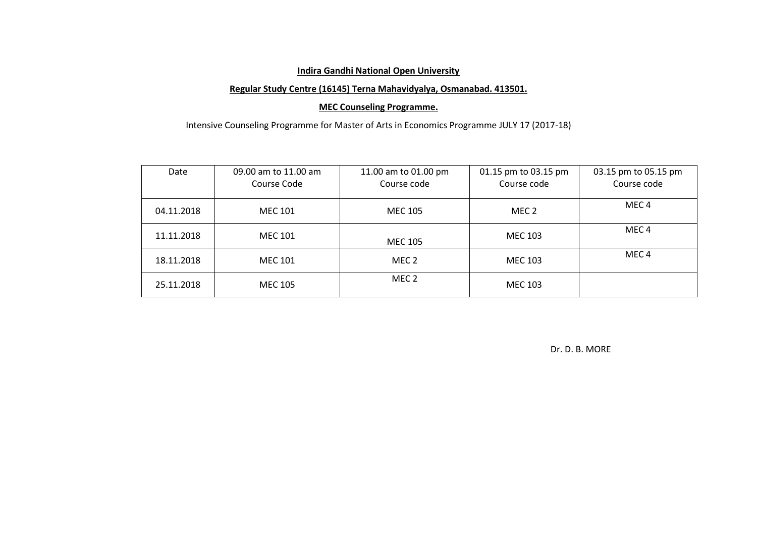### **Regular Study Centre (16145) Terna Mahavidyalya, Osmanabad. 413501.**

### **MEC Counseling Programme.**

Intensive Counseling Programme for Master of Arts in Economics Programme JULY 17 (2017-18)

| Date       | 09.00 am to 11.00 am<br>Course Code | 11.00 am to 01.00 pm<br>Course code | 01.15 pm to 03.15 pm<br>Course code | 03.15 pm to 05.15 pm<br>Course code |
|------------|-------------------------------------|-------------------------------------|-------------------------------------|-------------------------------------|
| 04.11.2018 | <b>MEC 101</b>                      | <b>MEC 105</b>                      | MEC 2                               | MEC 4                               |
| 11.11.2018 | <b>MEC 101</b>                      | <b>MEC 105</b>                      | MEC 103                             | MEC <sub>4</sub>                    |
| 18.11.2018 | MEC 101                             | MEC <sub>2</sub>                    | MEC 103                             | MEC <sub>4</sub>                    |
| 25.11.2018 | MEC 105                             | MEC 2                               | MEC 103                             |                                     |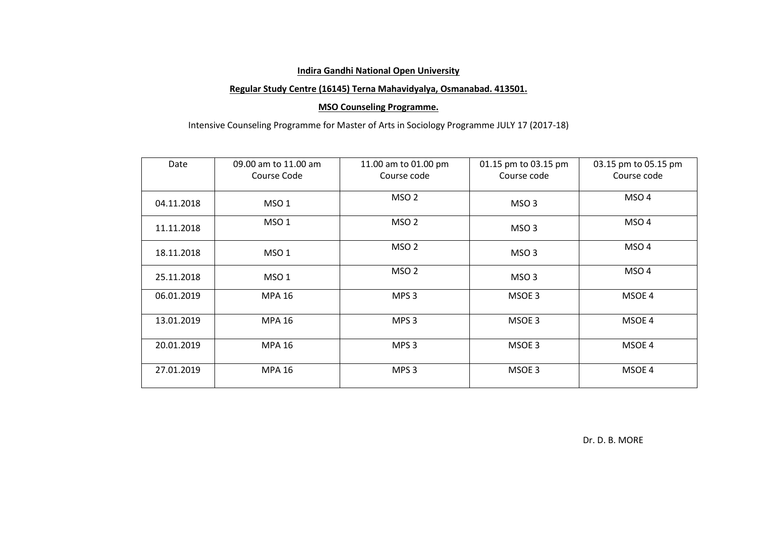### **Regular Study Centre (16145) Terna Mahavidyalya, Osmanabad. 413501.**

### **MSO Counseling Programme.**

# Intensive Counseling Programme for Master of Arts in Sociology Programme JULY 17 (2017-18)

| Date       | 09.00 am to 11.00 am<br>Course Code | 11.00 am to 01.00 pm<br>Course code | 01.15 pm to 03.15 pm<br>Course code | 03.15 pm to 05.15 pm<br>Course code |
|------------|-------------------------------------|-------------------------------------|-------------------------------------|-------------------------------------|
| 04.11.2018 | MSO <sub>1</sub>                    | MSO <sub>2</sub>                    | MSO <sub>3</sub>                    | MSO <sub>4</sub>                    |
| 11.11.2018 | MSO <sub>1</sub>                    | MSO <sub>2</sub>                    | MSO <sub>3</sub>                    | MSO <sub>4</sub>                    |
| 18.11.2018 | MSO <sub>1</sub>                    | MSO <sub>2</sub>                    | MSO <sub>3</sub>                    | MSO <sub>4</sub>                    |
| 25.11.2018 | MSO <sub>1</sub>                    | MSO <sub>2</sub>                    | MSO <sub>3</sub>                    | MSO <sub>4</sub>                    |
| 06.01.2019 | <b>MPA 16</b>                       | MPS <sub>3</sub>                    | MSOE 3                              | MSOE 4                              |
| 13.01.2019 | <b>MPA 16</b>                       | MPS <sub>3</sub>                    | MSOE 3                              | MSOE 4                              |
| 20.01.2019 | <b>MPA 16</b>                       | MPS <sub>3</sub>                    | MSOE 3                              | MSOE 4                              |
| 27.01.2019 | <b>MPA 16</b>                       | MPS <sub>3</sub>                    | MSOE 3                              | MSOE 4                              |